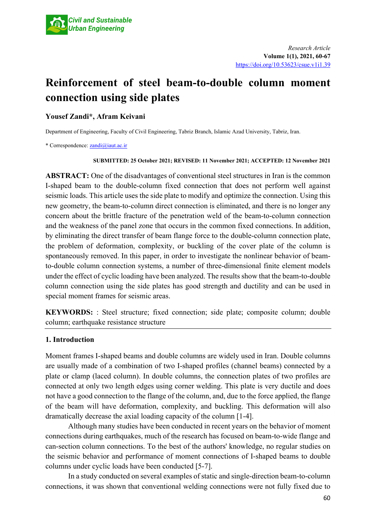

# **Reinforcement of steel beam-to-double column moment connection using side plates**

## **Yousef Zandi\*, Afram Keivani**

Department of Engineering, Faculty of Civil Engineering, Tabriz Branch, Islamic Azad University, Tabriz, Iran.

\* Correspondence: [zandi@iaut.ac.ir](mailto:zandi@iaut.ac.ir)

#### **SUBMITTED: 25 October 2021; REVISED: 11 November 2021; ACCEPTED: 12 November 2021**

**ABSTRACT:** One of the disadvantages of conventional steel structures in Iran is the common I-shaped beam to the double-column fixed connection that does not perform well against seismic loads. This article uses the side plate to modify and optimize the connection. Using this new geometry, the beam-to-column direct connection is eliminated, and there is no longer any concern about the brittle fracture of the penetration weld of the beam-to-column connection and the weakness of the panel zone that occurs in the common fixed connections. In addition, by eliminating the direct transfer of beam flange force to the double-column connection plate, the problem of deformation, complexity, or buckling of the cover plate of the column is spontaneously removed. In this paper, in order to investigate the nonlinear behavior of beamto-double column connection systems, a number of three-dimensional finite element models under the effect of cyclic loading have been analyzed. The results show that the beam-to-double column connection using the side plates has good strength and ductility and can be used in special moment frames for seismic areas.

**KEYWORDS:** : Steel structure; fixed connection; side plate; composite column; double column; earthquake resistance structure

### **1. Introduction**

Moment frames I-shaped beams and double columns are widely used in Iran. Double columns are usually made of a combination of two I-shaped profiles (channel beams) connected by a plate or clamp (laced column). In double columns, the connection plates of two profiles are connected at only two length edges using corner welding. This plate is very ductile and does not have a good connection to the flange of the column, and, due to the force applied, the flange of the beam will have deformation, complexity, and buckling. This deformation will also dramatically decrease the axial loading capacity of the column [1-4].

Although many studies have been conducted in recent years on the behavior of moment connections during earthquakes, much of the research has focused on beam-to-wide flange and can-section column connections. To the best of the authors' knowledge, no regular studies on the seismic behavior and performance of moment connections of I-shaped beams to double columns under cyclic loads have been conducted [5-7].

In a study conducted on several examples of static and single-direction beam-to-column connections, it was shown that conventional welding connections were not fully fixed due to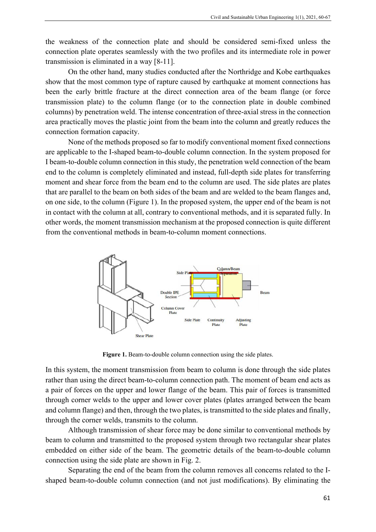the weakness of the connection plate and should be considered semi-fixed unless the connection plate operates seamlessly with the two profiles and its intermediate role in power transmission is eliminated in a way [8-11].

On the other hand, many studies conducted after the Northridge and Kobe earthquakes show that the most common type of rapture caused by earthquake at moment connections has been the early brittle fracture at the direct connection area of the beam flange (or force transmission plate) to the column flange (or to the connection plate in double combined columns) by penetration weld. The intense concentration of three-axial stress in the connection area practically moves the plastic joint from the beam into the column and greatly reduces the connection formation capacity.

None of the methods proposed so far to modify conventional moment fixed connections are applicable to the I-shaped beam-to-double column connection. In the system proposed for I beam-to-double column connection in this study, the penetration weld connection of the beam end to the column is completely eliminated and instead, full-depth side plates for transferring moment and shear force from the beam end to the column are used. The side plates are plates that are parallel to the beam on both sides of the beam and are welded to the beam flanges and, on one side, to the column (Figure 1). In the proposed system, the upper end of the beam is not in contact with the column at all, contrary to conventional methods, and it is separated fully. In other words, the moment transmission mechanism at the proposed connection is quite different from the conventional methods in beam-to-column moment connections.



**Figure 1.** Beam-to-double column connection using the side plates.

In this system, the moment transmission from beam to column is done through the side plates rather than using the direct beam-to-column connection path. The moment of beam end acts as a pair of forces on the upper and lower flange of the beam. This pair of forces is transmitted through corner welds to the upper and lower cover plates (plates arranged between the beam and column flange) and then, through the two plates, is transmitted to the side plates and finally, through the corner welds, transmits to the column.

Although transmission of shear force may be done similar to conventional methods by beam to column and transmitted to the proposed system through two rectangular shear plates embedded on either side of the beam. The geometric details of the beam-to-double column connection using the side plate are shown in Fig. 2.

Separating the end of the beam from the column removes all concerns related to the Ishaped beam-to-double column connection (and not just modifications). By eliminating the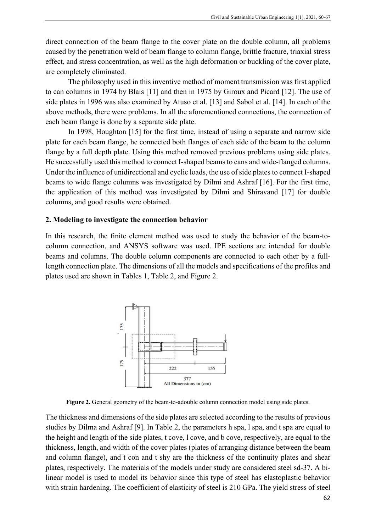direct connection of the beam flange to the cover plate on the double column, all problems caused by the penetration weld of beam flange to column flange, brittle fracture, triaxial stress effect, and stress concentration, as well as the high deformation or buckling of the cover plate, are completely eliminated.

The philosophy used in this inventive method of moment transmission was first applied to can columns in 1974 by Blais [11] and then in 1975 by Giroux and Picard [12]. The use of side plates in 1996 was also examined by Atuso et al. [13] and Sabol et al. [14]. In each of the above methods, there were problems. In all the aforementioned connections, the connection of each beam flange is done by a separate side plate.

In 1998, Houghton [15] for the first time, instead of using a separate and narrow side plate for each beam flange, he connected both flanges of each side of the beam to the column flange by a full depth plate. Using this method removed previous problems using side plates. He successfully used this method to connect I-shaped beams to cans and wide-flanged columns. Under the influence of unidirectional and cyclic loads, the use of side plates to connect I-shaped beams to wide flange columns was investigated by Dilmi and Ashraf [16]. For the first time, the application of this method was investigated by Dilmi and Shiravand [17] for double columns, and good results were obtained.

#### **2. Modeling to investigate the connection behavior**

In this research, the finite element method was used to study the behavior of the beam-tocolumn connection, and ANSYS software was used. IPE sections are intended for double beams and columns. The double column components are connected to each other by a fulllength connection plate. The dimensions of all the models and specifications of the profiles and plates used are shown in Tables 1, Table 2, and Figure 2.



**Figure 2.** General geometry of the beam-to-adouble column connection model using side plates.

The thickness and dimensions of the side plates are selected according to the results of previous studies by Dilma and Ashraf [9]. In Table 2, the parameters h spa, l spa, and t spa are equal to the height and length of the side plates, t cove, l cove, and b cove, respectively, are equal to the thickness, length, and width of the cover plates (plates of arranging distance between the beam and column flange), and t con and t shy are the thickness of the continuity plates and shear plates, respectively. The materials of the models under study are considered steel sd-37. A bilinear model is used to model its behavior since this type of steel has elastoplastic behavior with strain hardening. The coefficient of elasticity of steel is 210 GPa. The yield stress of steel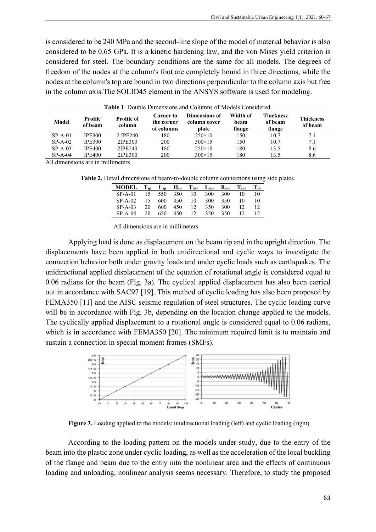is considered to be 240 MPa and the second-line slope of the model of material behavior is also considered to be 0.65 GPa. It is a kinetic hardening law, and the von Mises yield criterion is considered for steel. The boundary conditions are the same for all models. The degrees of freedom of the nodes at the column's foot are completely bound in three directions, while the nodes at the column's top are bound in two directions perpendicular to the column axis but free in the column axis.The SOLID45 element in the ANSYS software is used for modeling.

| Model     | Profile<br>of beam | Profile of<br>column | <b>Corner to</b><br>the corner<br>of columns | Dimensions of<br>column cover<br>plate | Width of<br>beam<br>flange | Thickness<br>of beam<br>flange | <b>Thickness</b><br>of beam |  |  |  |  |  |  |
|-----------|--------------------|----------------------|----------------------------------------------|----------------------------------------|----------------------------|--------------------------------|-----------------------------|--|--|--|--|--|--|
| $SP-A-01$ | <b>IPE300</b>      | 2 IPE240             | 180                                          | $250\times10$                          | l 50                       | 10.7                           | 7.1                         |  |  |  |  |  |  |
| $SP-A-02$ | <b>IPE300</b>      | 2IPE300              | 200                                          | $300 \times 15$                        | l 50                       | 10.7                           | 7.1                         |  |  |  |  |  |  |
| $SP-A-03$ | <b>IPE400</b>      | 2IPE240              | 180                                          | $250\times10$                          | 180                        | 13.5                           | 8.6                         |  |  |  |  |  |  |
| $SP-A-04$ | <b>IPE400</b>      | 2IPE300              | 200                                          | $300 \times 15$                        | 180                        | 13.5                           | 8.6                         |  |  |  |  |  |  |
|           |                    |                      |                                              |                                        |                            |                                |                             |  |  |  |  |  |  |

**Table 1**. Double Dimensions and Columns of Models Considered.

All dimensions are in millimeters

**Table 2.** Detail dimensions of beam-to-double column connections using side plates.

| <b>MODEL</b> | $T_{\rm sn}$ | $L_{sn}$ | $\mathbf{H}_{\text{sp}}$ | $T_{cov}$    | $\mathbf{L}_{\mathbf{cov}}$ | $B_{\rm cov}$ | $T_{\rm con}$ | $T_{sh}$ |
|--------------|--------------|----------|--------------------------|--------------|-----------------------------|---------------|---------------|----------|
| $SP-A-01$    | 15           |          | 550 350                  | 10           | 300                         | 300           | 10            | 10       |
| $SP-A-02$    | 15           | 600      | 350                      | 10           | 300                         | 350           | 10            | 10       |
| $SP-A-03$    | 20           | 600      | 450                      | 12           | 350                         | 300           | 12            |          |
| $SP-A-04$    | 20           | 650      | 450                      | $12^{\circ}$ | 350                         | 350           |               |          |

All dimensions are in millimeters

Applying load is done as displacement on the beam tip and in the upright direction. The displacements have been applied in both unidirectional and cyclic ways to investigate the connection behavior both under gravity loads and under cyclic loads such as earthquakes. The unidirectional applied displacement of the equation of rotational angle is considered equal to 0.06 radians for the beam (Fig. 3a). The cyclical applied displacement has also been carried out in accordance with SAC97 [19]. This method of cyclic loading has also been proposed by FEMA350 [11] and the AISC seismic regulation of steel structures. The cyclic loading curve will be in accordance with Fig. 3b, depending on the location change applied to the models. The cyclically applied displacement to a rotational angle is considered equal to 0.06 radians, which is in accordance with FEMA350 [20]. The minimum required limit is to maintain and sustain a connection in special moment frames (SMFs).



**Figure 3.** Loading applied to the models: unidirectional loading (left) and cyclic loading (right)

According to the loading pattern on the models under study, due to the entry of the beam into the plastic zone under cyclic loading, as well as the acceleration of the local buckling of the flange and beam due to the entry into the nonlinear area and the effects of continuous loading and unloading, nonlinear analysis seems necessary. Therefore, to study the proposed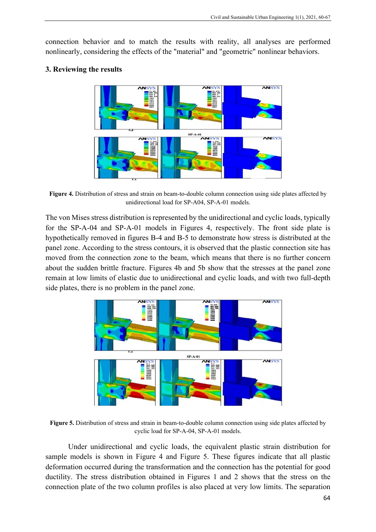connection behavior and to match the results with reality, all analyses are performed nonlinearly, considering the effects of the "material" and "geometric" nonlinear behaviors.

#### **3. Reviewing the results**



**Figure 4.** Distribution of stress and strain on beam-to-double column connection using side plates affected by unidirectional load for SP-A04, SP-A-01 models.

The von Mises stress distribution is represented by the unidirectional and cyclic loads, typically for the SP-A-04 and SP-A-01 models in Figures 4, respectively. The front side plate is hypothetically removed in figures B-4 and B-5 to demonstrate how stress is distributed at the panel zone. According to the stress contours, it is observed that the plastic connection site has moved from the connection zone to the beam, which means that there is no further concern about the sudden brittle fracture. Figures 4b and 5b show that the stresses at the panel zone remain at low limits of elastic due to unidirectional and cyclic loads, and with two full-depth side plates, there is no problem in the panel zone.



**Figure 5.** Distribution of stress and strain in beam-to-double column connection using side plates affected by cyclic load for SP-A-04, SP-A-01 models.

Under unidirectional and cyclic loads, the equivalent plastic strain distribution for sample models is shown in Figure 4 and Figure 5. These figures indicate that all plastic deformation occurred during the transformation and the connection has the potential for good ductility. The stress distribution obtained in Figures 1 and 2 shows that the stress on the connection plate of the two column profiles is also placed at very low limits. The separation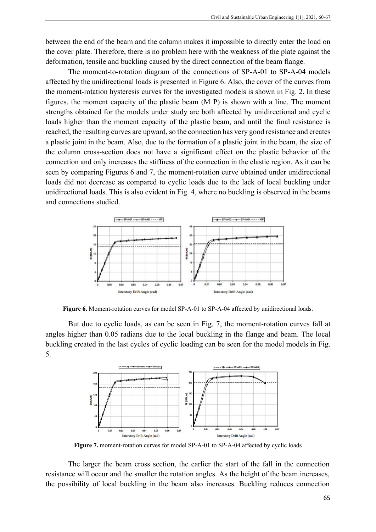between the end of the beam and the column makes it impossible to directly enter the load on the cover plate. Therefore, there is no problem here with the weakness of the plate against the deformation, tensile and buckling caused by the direct connection of the beam flange.

The moment-to-rotation diagram of the connections of SP-A-01 to SP-A-04 models affected by the unidirectional loads is presented in Figure 6. Also, the cover of the curves from the moment-rotation hysteresis curves for the investigated models is shown in Fig. 2. In these figures, the moment capacity of the plastic beam (M P) is shown with a line. The moment strengths obtained for the models under study are both affected by unidirectional and cyclic loads higher than the moment capacity of the plastic beam, and until the final resistance is reached, the resulting curves are upward, so the connection has very good resistance and creates a plastic joint in the beam. Also, due to the formation of a plastic joint in the beam, the size of the column cross-section does not have a significant effect on the plastic behavior of the connection and only increases the stiffness of the connection in the elastic region. As it can be seen by comparing Figures 6 and 7, the moment-rotation curve obtained under unidirectional loads did not decrease as compared to cyclic loads due to the lack of local buckling under unidirectional loads. This is also evident in Fig. 4, where no buckling is observed in the beams and connections studied.



**Figure 6.** Moment-rotation curves for model SP-A-01 to SP-A-04 affected by unidirectional loads.

But due to cyclic loads, as can be seen in Fig. 7, the moment-rotation curves fall at angles higher than 0.05 radians due to the local buckling in the flange and beam. The local buckling created in the last cycles of cyclic loading can be seen for the model models in Fig. 5.



**Figure 7.** moment-rotation curves for model SP-A-01 to SP-A-04 affected by cyclic loads

The larger the beam cross section, the earlier the start of the fall in the connection resistance will occur and the smaller the rotation angles. As the height of the beam increases, the possibility of local buckling in the beam also increases. Buckling reduces connection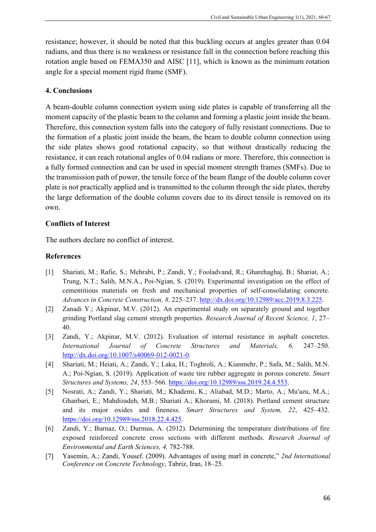resistance; however, it should be noted that this buckling occurs at angles greater than 0.04 radians, and thus there is no weakness or resistance fall in the connection before reaching this rotation angle based on FEMA350 and AISC [11], which is known as the minimum rotation angle for a special moment rigid frame (SMF).

## **4. Conclusions**

A beam-double column connection system using side plates is capable of transferring all the moment capacity of the plastic beam to the column and forming a plastic joint inside the beam. Therefore, this connection system falls into the category of fully resistant connections. Due to the formation of a plastic joint inside the beam, the beam to double column connection using the side plates shows good rotational capacity, so that without drastically reducing the resistance, it can reach rotational angles of 0.04 radians or more. Therefore, this connection is a fully formed connection and can be used in special moment strength frames (SMFs). Due to the transmission path of power, the tensile force of the beam flange of the double column cover plate is not practically applied and is transmitted to the column through the side plates, thereby the large deformation of the double column covers due to its direct tensile is removed on its own.

## **Conflicts of Interest**

The authors declare no conflict of interest.

## **References**

- [1] Shariati, M.; Rafie, S.; Mehrabi, P.; Zandi, Y.; Fooladvand, R.; Gharehaghaj, B.; Shariat, A.; Trung, N.T.; Salih, M.N.A., Poi-Ngian, S. (2019). [Experimental investigation on](https://www.dbpia.co.kr/Journal/articleDetail?nodeId=NODE10235913) the effect of [cementitious materials on fresh and mechanical properties of self-consolidating concrete.](https://www.dbpia.co.kr/Journal/articleDetail?nodeId=NODE10235913) *Advances in Concrete Construction, 8,* 225–237. [http://dx.doi.org/10.12989/acc.2019.8.3.225.](http://dx.doi.org/10.12989/acc.2019.8.3.225)
- [2] Zanadi Y.; Akpinar, M.V. (2012). An experimental study on separately ground and together grinding Portland slag cement strength properties. *Research Journal of Recent Science, 1, 27*– 40.
- [3] Zandi, Y.; Akpinar, M.V. (2012). Evaluation of internal resistance in asphalt concretes. *International Journal of Concrete Structures and Materials, 6,* 247‒250. [http://dx.doi.org/10.1007/s40069-012-0021-0.](http://dx.doi.org/10.1007/s40069-012-0021-0)
- [4] Shariati, M.; Heiati, A.; Zandi, Y.; Laka, H.; Toghroli, A.; Kianmehr, P.; Safa, M.; Salih, M.N. A.; Poi-Ngian, S. (2019). Application of waste tire rubber aggregate in porous concrete. *Smart Structures and Systems, 24*, 553‒566. [https://doi.org/10.12989/sss.2019.24.4.553.](https://doi.org/10.12989/sss.2019.24.4.553)
- [5] Nosrati, A.; Zandi, Y.; Shariati, M.; Khademi, K.; Aliabad, M.D.; Marto, A.; Mu'azu, M.A.; Ghanbari, E.; Mahdizadeh, M.B.; Shariati A.; Khorami, M. (2018). Portland cement structure and its major oxides and fineness. *Smart Structures and System*, 22, 425–432. [https://doi.org/10.12989/sss.2018.22.4.425.](https://doi.org/10.12989/sss.2018.22.4.425)
- [6] Zandi, Y.; Burnaz, O.; Durmus, A. (2012). Determining the temperature distributions of fire exposed reinforced concrete cross sections with different methods. *Research Journal of Environmental and Earth Sciences, 4,* 782-788.
- [7] Yasemin, A.; Zandi, Yousef. (2009). Advantages of using marl in concrete," *2nd International Conference on Concrete Technology*, Tabriz, Iran, 18–25.